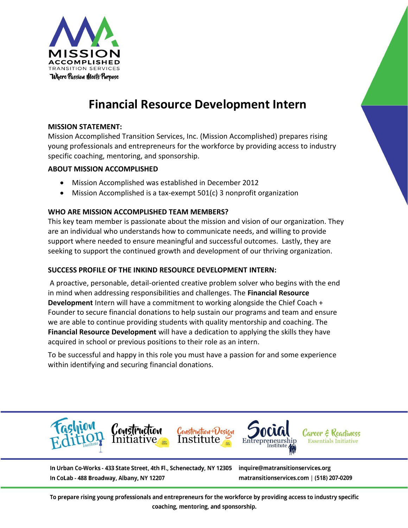

# **Financial Resource Development Intern**

# **MISSION STATEMENT:**

Mission Accomplished Transition Services, Inc. (Mission Accomplished) prepares rising young professionals and entrepreneurs for the workforce by providing access to industry specific coaching, mentoring, and sponsorship.

## **ABOUT MISSION ACCOMPLISHED**

- Mission Accomplished was established in December 2012
- Mission Accomplished is a tax-exempt 501(c) 3 nonprofit organization

# **WHO ARE MISSION ACCOMPLISHED TEAM MEMBERS?**

This key team member is passionate about the mission and vision of our organization. They are an individual who understands how to communicate needs, and willing to provide support where needed to ensure meaningful and successful outcomes. Lastly, they are seeking to support the continued growth and development of our thriving organization.

# **SUCCESS PROFILE OF THE INKIND RESOURCE DEVELOPMENT INTERN:**

A proactive, personable, detail-oriented creative problem solver who begins with the end in mind when addressing responsibilities and challenges. The **Financial Resource Development** Intern will have a commitment to working alongside the Chief Coach + Founder to secure financial donations to help sustain our programs and team and ensure we are able to continue providing students with quality mentorship and coaching. The **Financial Resource Development** will have a dedication to applying the skills they have acquired in school or previous positions to their role as an intern.

To be successful and happy in this role you must have a passion for and some experience within identifying and securing financial donations.



In Urban Co-Works - 433 State Street, 4th Fl., Schenectady, NY 12305 In CoLab - 488 Broadway, Albany, NY 12207

inquire@matransitionservices.org matransitionservices.com | (518) 207-0209

To prepare rising young professionals and entrepreneurs for the workforce by providing access to industry specific coaching, mentoring, and sponsorship.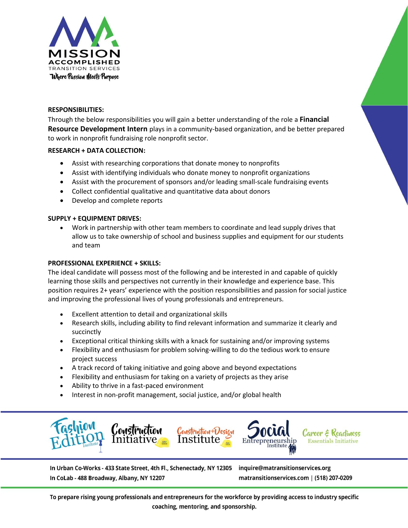

#### **RESPONSIBILITIES:**

Through the below responsibilities you will gain a better understanding of the role a **Financial Resource Development Intern** plays in a community-based organization, and be better prepared to work in nonprofit fundraising role nonprofit sector.

#### **RESEARCH + DATA COLLECTION:**

- Assist with researching corporations that donate money to nonprofits
- Assist with identifying individuals who donate money to nonprofit organizations
- Assist with the procurement of sponsors and/or leading small-scale fundraising events
- Collect confidential qualitative and quantitative data about donors
- Develop and complete reports

## **SUPPLY + EQUIPMENT DRIVES:**

• Work in partnership with other team members to coordinate and lead supply drives that allow us to take ownership of school and business supplies and equipment for our students and team

### **PROFESSIONAL EXPERIENCE + SKILLS:**

The ideal candidate will possess most of the following and be interested in and capable of quickly learning those skills and perspectives not currently in their knowledge and experience base. This position requires 2+ years' experience with the position responsibilities and passion for social justice and improving the professional lives of young professionals and entrepreneurs.

- Excellent attention to detail and organizational skills
- Research skills, including ability to find relevant information and summarize it clearly and succinctly
- Exceptional critical thinking skills with a knack for sustaining and/or improving systems
- Flexibility and enthusiasm for problem solving-willing to do the tedious work to ensure project success
- A track record of taking initiative and going above and beyond expectations
- Flexibility and enthusiasm for taking on a variety of projects as they arise
- Ability to thrive in a fast-paced environment
- Interest in non-profit management, social justice, and/or global health



In Urban Co-Works - 433 State Street, 4th Fl., Schenectady, NY 12305 In CoLab - 488 Broadway, Albany, NY 12207

inquire@matransitionservices.org matransitionservices.com | (518) 207-0209

To prepare rising young professionals and entrepreneurs for the workforce by providing access to industry specific coaching, mentoring, and sponsorship.